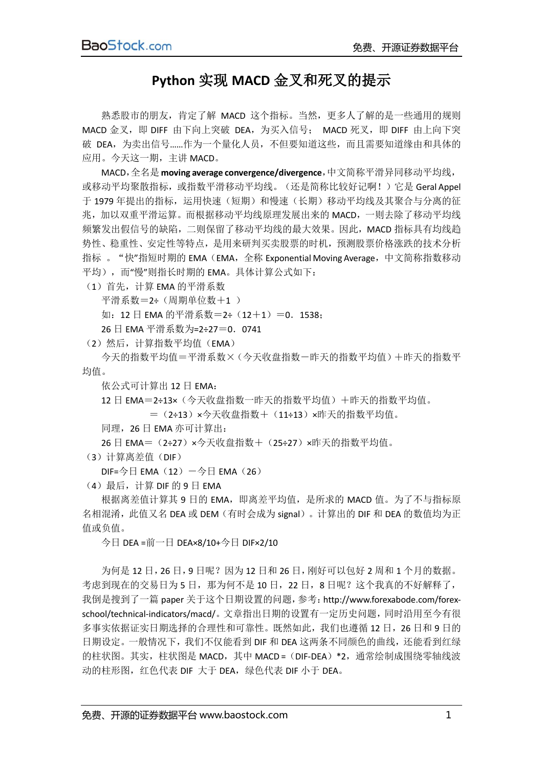## **Python** 实现 **MACD** 金叉和死叉的提示

熟悉股市的朋友,肯定了解 MACD 这个指标。当然,更多人了解的是一些通用的规则 MACD 金叉, 即 DIFF 由下向上突破 DEA, 为买入信号; MACD 死叉, 即 DIFF 由上向下突 破 DEA, 为卖出信号 ......作为一个量化人员, 不但要知道这些, 而且需要知道缘由和具体的 应用。今天这一期,主讲 MACD。

MACD,全名是**moving average convergence/divergence**,中文简称平滑异同移动平均线, 或移动平均聚散指标,或指数平滑移动平均线。(还是简称比较好记啊!)它是 Geral Appel 于 1979 年提出的指标,运用快速(短期)和慢速(长期)移动平均线及其聚合与分离的征 兆,加以双重平滑运算。而根据移动平均线原理发展出来的 MACD,一则去除了移动平均线 频繁发出假信号的缺陷,二则保留了移动平均线的最大效果。因此,MACD 指标具有均线趋 势性、稳重性、安定性等特点,是用来研判买卖股票的时机,预测股票价格涨跌的技术分析 指标 。"快"指短时期的 EMA (EMA, 全称 Exponential Moving Average, 中文简称指数移动 平均), 而"慢"则指长时期的 EMA。具体计算公式如下:

(1)首先,计算 EMA 的平滑系数

平滑系数=2÷(周期单位数+1)

如: 12 日 EMA 的平滑系数=2÷ (12+1) =0. 1538;

26 日 EMA 平滑系数为=2÷27=0.0741

(2) 然后, 计算指数平均值 (EMA)

今天的指数平均值=平滑系数×(今天收盘指数-昨天的指数平均值)+昨天的指数平 均值。

依公式可计算出 12 日 EMA:

12 日 EMA=2÷13×(今天收盘指数一昨天的指数平均值)+昨天的指数平均值。 =(2÷13)×今天收盘指数+(11÷13)×昨天的指数平均值。

同理,26 日 EMA 亦可计算出:

26 日 EMA=(2÷27)×今天收盘指数+(25÷27)×昨天的指数平均值。

(3)计算离差值(DIF)

 $DIF=\n 9HEMA(12)-\n 9HEMA(26)$ 

(4)最后,计算 DIF 的 9 日 EMA

根据离差值计算其 9 日的 EMA, 即离差平均值, 是所求的 MACD 值。为了不与指标原 名相混淆,此值又名 DEA 或 DEM(有时会成为 signal)。计算出的 DIF 和 DEA 的数值均为正 值或负值。

今日 DEA =前一日 DEA×8/10+今日 DIF×2/10

为何是 12 日, 26 日, 9 日呢?因为 12 日和 26 日, 刚好可以包好 2 周和 1 个月的数据。 考虑到现在的交易日为 5 日, 那为何不是 10 日, 22 日, 8 日呢?这个我真的不好解释了, 我倒是搜到了一篇 paper 关于这个日期设置的问题,参考:[http://www.forexabode.com/forex](http://www.forexabode.com/forex-school/technical-indicators/macd/)[school/technical-indicators/macd/](http://www.forexabode.com/forex-school/technical-indicators/macd/)。文章指出日期的设置有一定历史问题,同时沿用至今有很 多事实依据证实日期选择的合理性和可靠性。既然如此,我们也遵循 12 日, 26 日和 9 日的 日期设定。一般情况下,我们不仅能看到 DIF 和 DEA 这两条不同颜色的曲线,还能看到红绿 的柱状图。其实,柱状图是 MACD,其中 MACD = (DIF-DEA) \*2, 通常绘制成围绕零轴线波 动的柱形图,红色代表 DIF 大于 DEA,绿色代表 DIF 小于 DEA。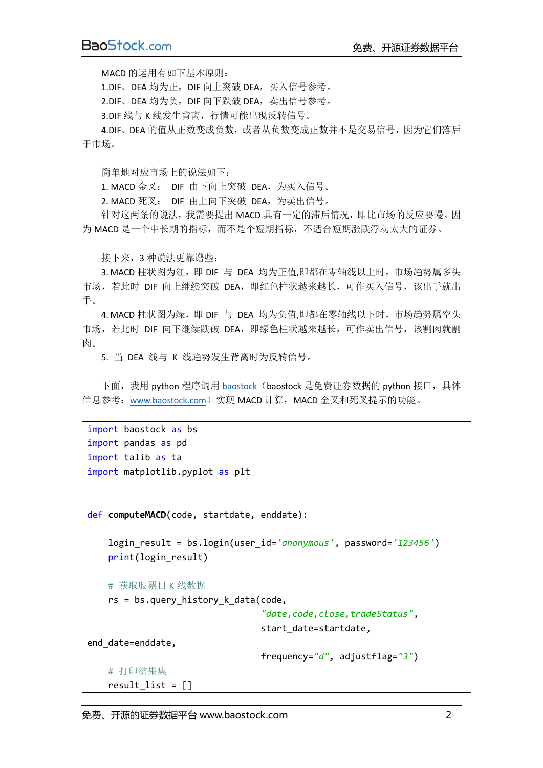MACD 的运用有如下基本原则:

1.DIF、DEA 均为正, DIF 向上突破 DEA, 买入信号参考。

2.DIF、DEA 均为负,DIF 向下跌破 DEA,卖出信号参考。

3.DIF 线与 K 线发生背离, 行情可能出现反转信号。

4.DIF、DEA 的值从正数变成负数, 或者从负数变成正数并不是交易信号, 因为它们落后 于市场。

简单地对应市场上的说法如下:

1. MACD 金叉: DIF 由下向上突破 DEA,为买入信号。

2. MACD 死叉: DIF 由上向下突破 DEA,为卖出信号。

针对这两条的说法,我需要提出 MACD 具有一定的滞后情况,即比市场的反应要慢。因 为 MACD 是一个中长期的指标,而不是个短期指标,不适合短期涨跌浮动太大的证券。

接下来,3 种说法更靠谱些:

3. MACD 柱状图为红, 即 DIF 与 DEA 均为正值,即都在零轴线以上时, 市场趋势属多头 市场, 若此时 DIF 向上继续突破 DEA, 即红色柱状越来越长, 可作买入信号, 该出手就出 手。

4. MACD 柱状图为绿, 即 DIF 与 DEA 均为负值,即都在零轴线以下时, 市场趋势属空头 市场,若此时 DIF 向下继续跌破 DEA, 即绿色柱状越来越长, 可作卖出信号, 该割肉就割 肉。

5. 当 DEA 线与 K 线趋势发生背离时为反转信号。

下面,我用 python 程序调用 [baostock](http://www.baostock.com/) (baostock 是免费证券数据的 python 接口,具体 信息参考: [www.baostock.com](http://www.baostock.com/))实现 MACD 计算, MACD 金叉和死叉提示的功能。

```
import baostock as bs
import pandas as pd
import talib as ta
import matplotlib.pyplot as plt
def computeMACD(code, startdate, enddate):
     login_result = bs.login(user_id='anonymous', password='123456')
    print(login_result)
    # 获取股票日 K 线数据
    rs = bs.query_history_k_data(code,
                                  "date,code,close,tradeStatus",
                                 start date=startdate,
end date=enddate,
                                  frequency="d", adjustflag="3")
     # 打印结果集
   result list = []
```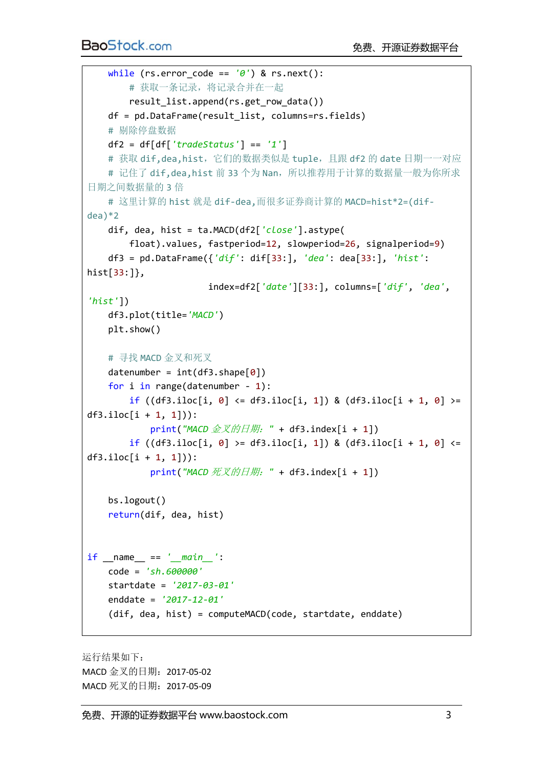```
 while (rs.error_code == '0') & rs.next():
        # 获取一条记录,将记录合并在一起
       result list.append(rs.get row data())
    df = pd.DataFrame(result_list, columns=rs.fields)
    # 剔除停盘数据
    df2 = df[df['tradeStatus'] == '1']
   # 获取 dif,dea,hist, 它们的数据类似是 tuple, 且跟 df2 的 date 日期一一对应
   # 记住了 dif,dea,hist 前 33 个为 Nan, 所以推荐用于计算的数据量一般为你所求
日期之间数据量的 3 倍
    # 这里计算的 hist 就是 dif-dea,而很多证券商计算的 MACD=hist*2=(dif-
dea)*2
    dif, dea, hist = ta.MACD(df2['close'].astype(
        float).values, fastperiod=12, slowperiod=26, signalperiod=9)
    df3 = pd.DataFrame({'dif': dif[33:], 'dea': dea[33:], 'hist': 
hist[33:]},
                       index=df2['date'][33:], columns=['dif', 'dea', 
'hist'])
    df3.plot(title='MACD')
    plt.show()
   # 寻找 MACD 金叉和死叉
   datenumber = int(df3.shape[0]) for i in range(datenumber - 1):
       if ((df3.iloc[i, 0] \leq df3.iloc[i, 1]) & (df3.iloc[i + 1, 0] \geqdf3.iloc[i + 1, 1]):
            print("MACD 金叉的日期:" + df3.index[i + 1])
       if ((df3.iloc[i, 0] >= df3.iloc[i, 1]) & (df3.iloc[i + 1, 0] <=
df3.iloc[i + 1, 1]):
            print("MACD 死叉的日期:" + df3.index[i + 1])
    bs.logout()
    return(dif, dea, hist)
if __name__ == '__main__':
    code = 'sh.600000'
    startdate = '2017-03-01'
    enddate = '2017-12-01'
    (dif, dea, hist) = computeMACD(code, startdate, enddate)
```
运行结果如下: MACD 金叉的日期:2017-05-02 MACD 死叉的日期: 2017-05-09